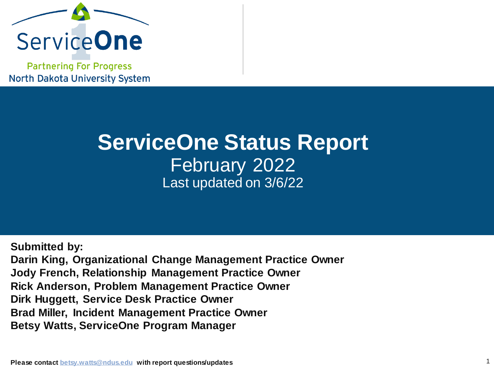

**Partnering For Progress North Dakota University System** 

## **ServiceOne Status Report** February 2022 Last updated on 3/6/22

**Submitted by: Darin King, Organizational Change Management Practice Owner Jody French, Relationship Management Practice Owner Rick Anderson, Problem Management Practice Owner Dirk Huggett, Service Desk Practice Owner Brad Miller, Incident Management Practice Owner Betsy Watts, ServiceOne Program Manager**